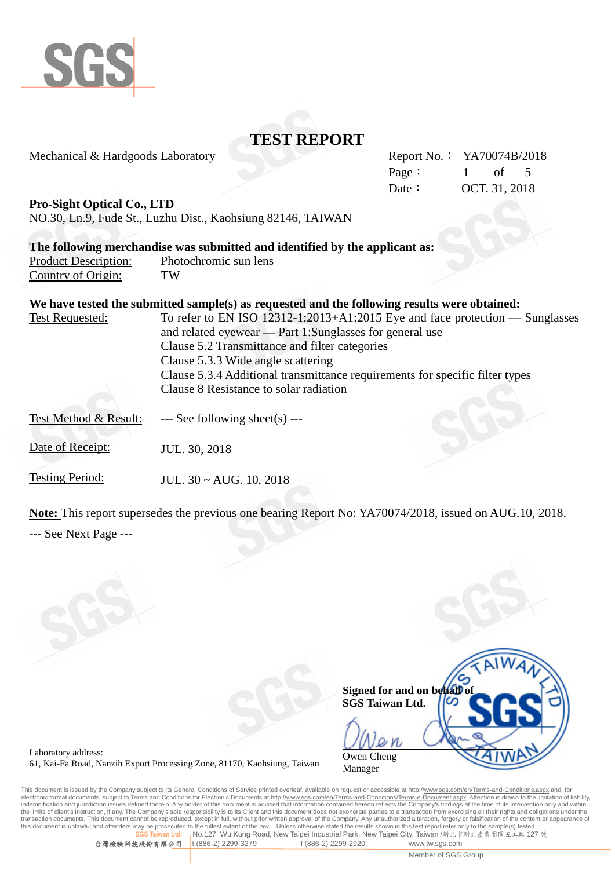

Mechanical & Hardgoods Laboratory

|        | Report No.: YA70074B/2018 |               |  |
|--------|---------------------------|---------------|--|
| Page : |                           | $1$ of 5      |  |
| Date:  |                           | OCT. 31, 2018 |  |

**Pro-Sight Optical Co., LTD**

NO.30, Ln.9, Fude St., Luzhu Dist., Kaohsiung 82146, TAIWAN

|                             | The following merchandise was submitted and identified by the applicant as: |
|-----------------------------|-----------------------------------------------------------------------------|
| <b>Product Description:</b> | Photochromic sun lens                                                       |

# Country of Origin: TW **We have tested the submitted sample(s) as requested and the following results were obtained:** Test Requested: To refer to EN ISO 12312-1:2013+A1:2015 Eye and face protection — Sunglasses

| TOOL INDUCTION.       | To follow the three results in the same that the protection<br>$U$ unguwoo   |
|-----------------------|------------------------------------------------------------------------------|
|                       | and related eyewear — Part 1:Sunglasses for general use                      |
|                       | Clause 5.2 Transmittance and filter categories                               |
|                       | Clause 5.3.3 Wide angle scattering                                           |
|                       | Clause 5.3.4 Additional transmittance requirements for specific filter types |
|                       | Clause 8 Resistance to solar radiation                                       |
| Test Method & Result: | $\leftarrow$ See following sheet(s) $\leftarrow$                             |
| Date of Receipt:      | JUL. 30, 2018                                                                |
| Testing Period:       | JUL. $30 \sim \text{AUG. } 10, 2018$                                         |

**Note:** This report supersedes the previous one bearing Report No: YA70074/2018, issued on AUG.10, 2018. --- See Next Page ---

| AIWA                        |
|-----------------------------|
|                             |
| Signed for and on behalf of |
| <b>SGS Taiwan Ltd.</b>      |
|                             |
|                             |
|                             |
| Owen Cheng                  |
| Manager                     |

Laboratory address: 61, Kai-Fa Road, Nanzih Export Processing Zone, 81170, Kaohsiung, Taiwan

This document is issued by the Company subject to its General Conditions of Service printed overleaf, available on request or accessible at http://<u>www.sgs.com/en/Terms-and-Conditions.aspx</u> and, for<br>electronic format docum indemnification and jurisdiction issues defined therein. Any holder of this document is advised that information contained hereon reflects the Company's findings at the time of its intervention only and within<br>the limits o transaction documents. This document cannot be reproduced, except in full, without prior written approval of the Company. Any unauthorized alteration, forgery or falsification of the content or appearance of this document isecuted to the fullest extent of the law. Unless otherwise stated the results shown in this test report refer only to the sample(s) tested<br>an Ltd. … No 127. Wu Kung Road, New Taipei Industrial Park. New Taipei City Taiw **No.127, Wu Kung Road, New Taipei Industrial Park, New Taipei City, Taiwan /新北市新北產業園區五工路 127 號** 

台灣檢驗科技股份有限公司 t (886-2) 2299-3279 f (886-2) 2299-2920 www.tw.sgs.com

Member of SGS Group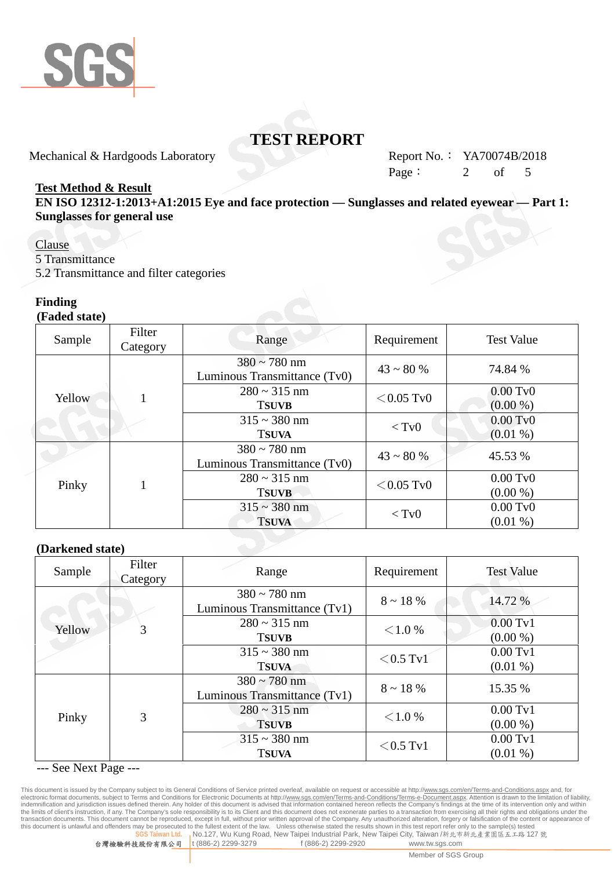

Mechanical & Hardgoods Laboratory Report No.: YA70074B/2018

Page:  $2 \text{ of } 5$ 

#### **Test Method & Result**

**EN ISO 12312-1:2013+A1:2015 Eye and face protection — Sunglasses and related eyewear — Part 1: Sunglasses for general use**

#### Clause

5 Transmittance

5.2 Transmittance and filter categories

#### **Finding**

**(Faded state)**

| Sample | Filter<br>Category | Range                                             | Requirement     | <b>Test Value</b>                 |
|--------|--------------------|---------------------------------------------------|-----------------|-----------------------------------|
| Yellow |                    | $380 \sim 780$ nm<br>Luminous Transmittance (Tv0) | $43 \sim 80 \%$ | 74.84 %                           |
|        |                    | $280 \sim 315$ nm<br><b>TSUVB</b>                 | $<$ 0.05 Tv0    | $0.00 \text{ Tv}0$<br>$(0.00\% )$ |
|        |                    | $315 \sim 380$ nm<br><b>TSUVA</b>                 | $<$ Tv $0$      | $0.00$ TvO<br>$(0.01\%)$          |
|        |                    | $380 \sim 780$ nm<br>Luminous Transmittance (Tv0) | $43 \sim 80 \%$ | 45.53 %                           |
| Pinky  |                    | $280 \sim 315$ nm<br><b>TSUVB</b>                 | $<$ 0.05 Tv0    | $0.00 \text{ Tv}0$<br>$(0.00\%)$  |
|        |                    | $315 \sim 380$ nm<br><b>TSUVA</b>                 | $<$ TvO         | $0.00$ TvO<br>$(0.01\%)$          |

#### **(Darkened state)**

| Sample | Filter<br>Category | Range                                             | Requirement    | <b>Test Value</b>   |
|--------|--------------------|---------------------------------------------------|----------------|---------------------|
|        |                    | $380 \sim 780$ nm<br>Luminous Transmittance (Tv1) | $8 \sim 18 \%$ | 14.72 %             |
| Yellow | 3                  | $280 \sim 315$ nm                                 | < 1.0 %        | $0.00 \mathrm{Tv}1$ |
|        |                    | <b>TSUVB</b>                                      |                | $(0.00\% )$         |
|        |                    | $315 \sim 380$ nm                                 | $<$ 0.5 Tv1    | $0.00$ Tv1          |
|        |                    | <b>TSUVA</b>                                      |                | $(0.01\%)$          |
|        | 3                  | $380 \sim 780$ nm                                 | $8 \sim 18\%$  | 15.35 %             |
|        |                    | Luminous Transmittance (Tv1)                      |                |                     |
| Pinky  |                    | $280 \sim 315$ nm                                 | < 1.0 %        | $0.00 \text{ Tv}1$  |
|        |                    | <b>TSUVB</b>                                      |                | $(0.00\% )$         |
|        |                    | $315 \sim 380$ nm                                 |                | $0.00 \text{ Tv}1$  |
|        |                    | <b>TSUVA</b>                                      | $<$ 0.5 Tv1    | $(0.01\%)$          |

--- See Next Page ---

This document is issued by the Company subject to its General Conditions of Service printed overleaf, available on request or accessible at http://<u>www.sgs.com/en/Terms-and-Conditions.aspx</u> and, for<br>electronic format docum indemnification and jurisdiction issues defined therein. Any holder of this document is advised that information contained hereon reflects the Company's findings at the time of its intervention only and within<br>the limits o transaction documents. This document cannot be reproduced, except in full, without prior written approval of the Company. Any unauthorized alteration, forgery or falsification of the content or appearance of<br>this document **wan Ltd. <sub>I</sub>No.127, Wu Kung Road, New Taipei Industrial Park, New Taipei City, Taiwan /新北市新北產業園區五工路 127 號** 

台灣檢驗科技股份有限公司 t (886-2) 2299-3279 f (886-2) 2299-2920 www.tw.sgs.com

Member of SGS Group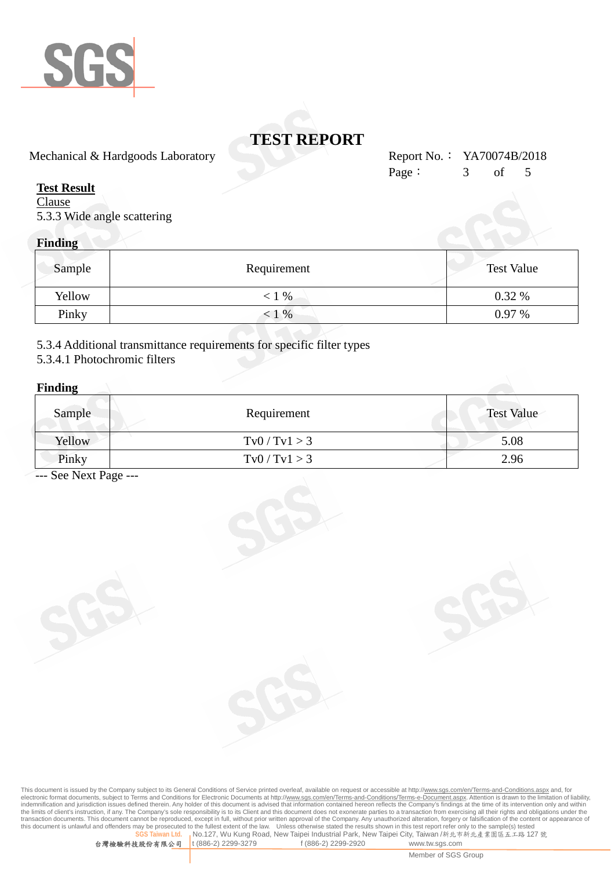

Mechanical & Hardgoods Laboratory Report No.: YA70074B/2018

#### **Test Result**

**Clause** 5.3.3 Wide angle scattering

### **Finding**

| Sample | Requirement | <b>Test Value</b> |
|--------|-------------|-------------------|
| Yellow | $< 1\%$     | 0.32%             |
| Pinky  | $< 1\%$     | $0.97\%$          |

5.3.4 Additional transmittance requirements for specific filter types

#### 5.3.4.1 Photochromic filters

#### **Finding**

| $\bullet$<br>Sample | Requirement                   | <b>Test Value</b> |
|---------------------|-------------------------------|-------------------|
| Yellow              | $\text{Tv0} / \text{Tv1} > 3$ | 5.08              |
| Pinky               | $\text{Tv0} / \text{Tv1} > 3$ | 2.96              |

--- See Next Page ---

This document is issued by the Company subject to its General Conditions of Service printed overleaf, available on request or accessible at http://<u>www.sgs.com/en/Terms-and-Conditions.aspx</u> and, for<br>electronic format docum indemnification and jurisdiction issues defined therein. Any holder of this document is advised that information contained hereon reflects the Company's findings at the time of its intervention only and within<br>the limits o transaction documents. This document cannot be reproduced, except in full, without prior written approval of the Company. Any unauthorized alteration, forgery or falsification of the content or appearance of<br>this document **No.127, Wu Kung Road, New Taipei Industrial Park, New Taipei City, Taiwan** /新北市新北產業園區五工路 127 號<br>t (886-2) 2299-3279 f (886-2) 2299-2920 www.tw.sgs.com

Page: 3 of 5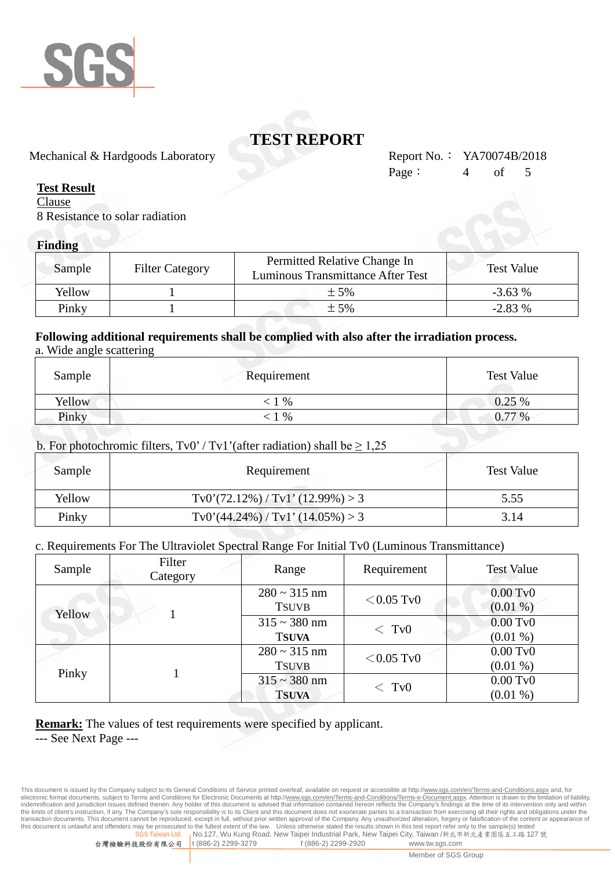

Mechanical & Hardgoods Laboratory Report No.: YA70074B/2018

#### **Test Result**

**Clause** 8 Resistance to solar radiation

#### **Finding**

| Sample | <b>Filter Category</b> | Permitted Relative Change In<br>Luminous Transmittance After Test | <b>Test Value</b> |
|--------|------------------------|-------------------------------------------------------------------|-------------------|
| Yellow |                        | $+5%$                                                             | $-3.63%$          |
| Pinky  |                        | $\pm$ 5%                                                          | $-2.83%$          |

# **Following additional requirements shall be complied with also after the irradiation process.**

|  |  | a. Wide angle scattering |
|--|--|--------------------------|
|  |  |                          |

| Sample | Requirement | <b>Test Value</b> |
|--------|-------------|-------------------|
| Yellow | $\%$        | 0.25%             |
| Pinky  | $\%$        | 0.77%             |

#### b. For photochromic filters,  $Tv0' / Tv1'$  (after radiation) shall be  $\geq 1.25$

| Sample | Requirement                                        | <b>Test Value</b> |
|--------|----------------------------------------------------|-------------------|
| Yellow | $\text{Tv0'}(72.12\%) / \text{Tv1'} (12.99\%) > 3$ | 5.55              |
| Pinky  | $\text{Tv0}'(44.24\%) / \text{Tv1}'(14.05\%) > 3$  | 3.14              |

#### c. Requirements For The Ultraviolet Spectral Range For Initial Tv0 (Luminous Transmittance)

| Sample | Filter<br>Category | Range                             | Requirement          | <b>Test Value</b>        |
|--------|--------------------|-----------------------------------|----------------------|--------------------------|
| Yellow |                    | $280 \sim 315$ nm<br><b>TSUVB</b> | $<$ 0.05 Tv0         | $0.00$ TvO<br>$(0.01\%)$ |
|        |                    | $315 \sim 380$ nm                 | $<$ TvO              | $0.00 \text{ Tv}0$       |
|        |                    | <b>TSUVA</b>                      |                      | $(0.01\%)$               |
|        |                    | $280 \sim 315$ nm                 | $<$ 0.05 Tv0         | $0.00$ TvO               |
| Pinky  |                    | <b>TSUVB</b>                      |                      | $(0.01\%)$               |
|        |                    | $315 \sim 380$ nm                 | $<$ T <sub>v</sub> 0 | $0.00 \text{ Tv}0$       |
|        |                    | <b>TSUVA</b>                      |                      | $(0.01\%)$               |

#### **Remark:** The values of test requirements were specified by applicant.

--- See Next Page ---

This document is issued by the Company subject to its General Conditions of Service printed overleaf, available on request or accessible at http://<u>www.sgs.com/en/Terms-and-Conditions.aspx</u> and, for<br>electronic format docum indemnification and jurisdiction issues defined therein. Any holder of this document is advised that information contained hereon reflects the Company's findings at the time of its intervention only and within<br>the limits o transaction documents. This document cannot be reproduced, except in full, without prior written approval of the Company. Any unauthorized alteration, forgery or falsification of the content or appearance of this document rosecuted to the fullest extent of the law. Unless otherwise stated the results shown in this test report refer only to the sample(s) tested<br>wan Ltd. . No.127. Wu Kung Road. New Taipei Industrial Park. New Taipei City. Ta **No.127, Wu Kung Road, New Taipei Industrial Park, New Taipei City, Taiwan /新北市新北產業園區五工路 127 號** 

台灣檢驗科技股份有限公司 t (886-2) 2299-3279 f (886-2) 2299-2920 www.tw.sgs.com

Member of SGS Group

Page:  $4$  of 5